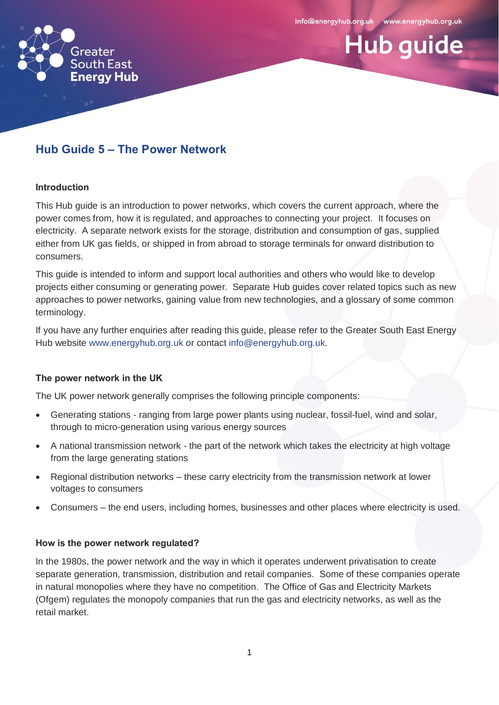info@energyhub.org.uk www.energyhub.org.uk

**Hub guide** 



# **Hub Guide 5 – The Power Network**

#### **Introduction**

This Hub guide is an introduction to power networks, which covers the current approach, where the power comes from, how it is regulated, and approaches to connecting your project. It focuses on electricity. A separate network exists for the storage, distribution and consumption of gas, supplied either from UK gas fields, or shipped in from abroad to storage terminals for onward distribution to consumers.

This guide is intended to inform and support local authorities and others who would like to develop projects either consuming or generating power. Separate Hub guides cover related topics such as new approaches to power networks, gaining value from new technologies, and a glossary of some common terminology.

If you have any further enquiries after reading this guide, please refer to the Greater South East Energy Hub website [www.energyhub.org.uk](http://www.energyhub.org.uk/) or contact [info@energyhub.org.uk.](mailto:erica.sutton@energyhub.org.uk)

# **The power network in the UK**

The UK power network generally comprises the following principle components:

- Generating stations ranging from large power plants using nuclear, fossil-fuel, wind and solar, through to micro-generation using various energy sources
- A national transmission network the part of the network which takes the electricity at high voltage from the large generating stations
- Regional distribution networks these carry electricity from the transmission network at lower voltages to consumers
- Consumers the end users, including homes, businesses and other places where electricity is used.

# **How is the power network regulated?**

In the 1980s, the power network and the way in which it operates underwent privatisation to create separate generation, transmission, distribution and retail companies. Some of these companies operate in natural monopolies where they have no competition. The Office of Gas and Electricity Markets (Ofgem) regulates the monopoly companies that run the gas and electricity networks, as well as the retail market.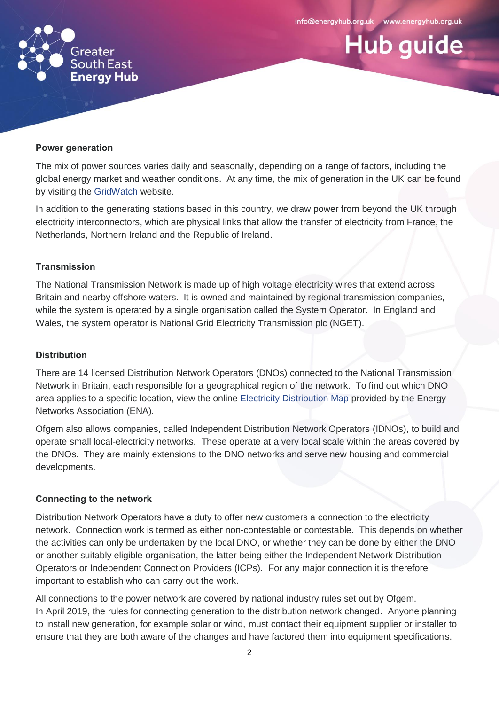info@energyhub.org.uk www.energyhub.org.uk

**Hub guide** 



#### **Power generation**

The mix of power sources varies daily and seasonally, depending on a range of factors, including the global energy market and weather conditions. At any time, the mix of generation in the UK can be found by visiting the [GridWatch](https://gridwatch.co.uk/) website.

In addition to the generating stations based in this country, we draw power from beyond the UK through electricity interconnectors, which are physical links that allow the transfer of electricity from France, the Netherlands, Northern Ireland and the Republic of Ireland.

#### **Transmission**

The National Transmission Network is made up of high voltage electricity wires that extend across Britain and nearby offshore waters. It is owned and maintained by regional transmission companies, while the system is operated by a single organisation called the System Operator. In England and Wales, the system operator is National Grid Electricity Transmission plc (NGET).

# **Distribution**

There are 14 licensed Distribution Network Operators (DNOs) connected to the National Transmission Network in Britain, each responsible for a geographical region of the network. To find out which DNO area applies to a specific location, view the online [Electricity Distribution Map](http://www.energynetworks.org/info/faqs/electricity-distribution-map.html) provided by the Energy Networks Association (ENA).

Ofgem also allows companies, called Independent Distribution Network Operators (IDNOs), to build and operate small local-electricity networks. These operate at a very local scale within the areas covered by the DNOs. They are mainly extensions to the DNO networks and serve new housing and commercial developments.

# **Connecting to the network**

Distribution Network Operators have a duty to offer new customers a connection to the electricity network. Connection work is termed as either non-contestable or contestable. This depends on whether the activities can only be undertaken by the local DNO, or whether they can be done by either the DNO or another suitably eligible organisation, the latter being either the Independent Network Distribution Operators or Independent Connection Providers (ICPs). For any major connection it is therefore important to establish who can carry out the work.

All connections to the power network are covered by national industry rules set out by Ofgem. In April 2019, the rules for connecting generation to the distribution network changed. Anyone planning to install new generation, for example solar or wind, must contact their equipment supplier or installer to ensure that they are both aware of the changes and have factored them into equipment specifications.